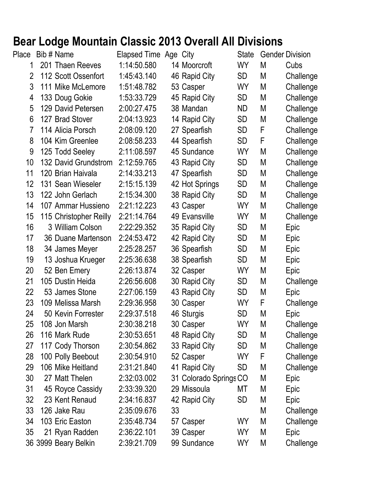## **Bear Lodge Mountain Classic 2013 Overall All Divisions**<br>Place Bib # Name Elapsed Time Age City State Gender

| Place          | Bib # Name             | Elapsed Time Age City |    |                        | <b>State</b>    |   | <b>Gender Division</b> |
|----------------|------------------------|-----------------------|----|------------------------|-----------------|---|------------------------|
| 1              | 201 Thaen Reeves       | 1:14:50.580           |    | 14 Moorcroft           | WY              | M | Cubs                   |
| $\overline{2}$ | 112 Scott Ossenfort    | 1:45:43.140           |    | 46 Rapid City          | SD              | M | Challenge              |
| 3              | 111 Mike McLemore      | 1:51:48.782           |    | 53 Casper              | <b>WY</b>       | M | Challenge              |
| 4              | 133 Doug Gokie         | 1:53:33.729           |    | 45 Rapid City          | <b>SD</b>       | M | Challenge              |
| 5              | 129 David Petersen     | 2:00:27.475           |    | 38 Mandan              | ND              | M | Challenge              |
| 6              | 127 Brad Stover        | 2:04:13.923           |    | 14 Rapid City          | SD              | M | Challenge              |
| 7              | 114 Alicia Porsch      | 2:08:09.120           |    | 27 Spearfish           | SD              | F | Challenge              |
| 8              | 104 Kim Greenlee       | 2:08:58.233           |    | 44 Spearfish           | SD              | F | Challenge              |
| 9              | 125 Todd Seeley        | 2:11:08.597           |    | 45 Sundance            | <b>WY</b>       | M | Challenge              |
| 10             | 132 David Grundstrom   | 2:12:59.765           |    | 43 Rapid City          | <b>SD</b>       | M | Challenge              |
| 11             | 120 Brian Haivala      | 2:14:33.213           |    | 47 Spearfish           | SD              | M | Challenge              |
| 12             | 131 Sean Wieseler      | 2:15:15.139           |    | 42 Hot Springs         | <b>SD</b>       | M | Challenge              |
| 13             | 122 John Gerlach       | 2:15:34.300           |    | 38 Rapid City          | <b>SD</b>       | M | Challenge              |
| 14             | 107 Ammar Hussieno     | 2:21:12.223           |    | 43 Casper              | <b>WY</b>       | M | Challenge              |
| 15             | 115 Christopher Reilly | 2:21:14.764           |    | 49 Evansville          | WY              | M | Challenge              |
| 16             | 3 William Colson       | 2:22:29.352           |    | 35 Rapid City          | SD              | M | Epic                   |
| 17             | 36 Duane Martenson     | 2:24:53.472           |    | 42 Rapid City          | SD              | M | Epic                   |
| 18             | 34 James Meyer         | 2:25:28.257           |    | 36 Spearfish           | SD              | M | Epic                   |
| 19             | 13 Joshua Krueger      | 2:25:36.638           |    | 38 Spearfish           | SD              | M | Epic                   |
| 20             | 52 Ben Emery           | 2:26:13.874           |    | 32 Casper              | <b>WY</b>       | M | Epic                   |
| 21             | 105 Dustin Heida       | 2:26:56.608           |    | 30 Rapid City          | SD              | M | Challenge              |
| 22             | 53 James Stone         | 2:27:06.159           |    | 43 Rapid City          | SD              | M | Epic                   |
| 23             | 109 Melissa Marsh      | 2:29:36.958           |    | 30 Casper              | <b>WY</b>       | F | Challenge              |
| 24             | 50 Kevin Forrester     | 2:29:37.518           |    | 46 Sturgis             | SD.             | M | Epic                   |
| 25             | 108 Jon Marsh          | 2:30:38.218           |    | 30 Casper              | WY              | М | Challenge              |
| 26             | 116 Mark Rude          | 2:30:53.651           |    | 48 Rapid City          | SD.             | M | Challenge              |
| 27             | 117 Cody Thorson       | 2:30:54.862           |    | 33 Rapid City          | SD              | M | Challenge              |
| 28             | 100 Polly Beebout      | 2:30:54.910           |    | 52 Casper              | WY              | F | Challenge              |
| 29             | 106 Mike Heitland      | 2:31:21.840           |    | 41 Rapid City          | SD              | M | Challenge              |
| 30             | 27 Matt Thelen         | 2:32:03.002           |    | 31 Colorado Springs CO |                 | M | Epic                   |
| 31             | 45 Royce Cassidy       | 2:33:39.320           |    | 29 Missoula            | МT              | M | Epic                   |
| 32             | 23 Kent Renaud         | 2:34:16.837           |    | 42 Rapid City          | SD <sub>.</sub> | M | Epic                   |
| 33             | 126 Jake Rau           | 2:35:09.676           | 33 |                        |                 | M | Challenge              |
| 34             | 103 Eric Easton        | 2:35:48.734           |    | 57 Casper              | WY              | M | Challenge              |
| 35             | 21 Ryan Radden         | 2:36:22.101           |    | 39 Casper              | WY              | M | Epic                   |
|                | 36 3999 Beary Belkin   | 2:39:21.709           |    | 99 Sundance            | WY              | M | Challenge              |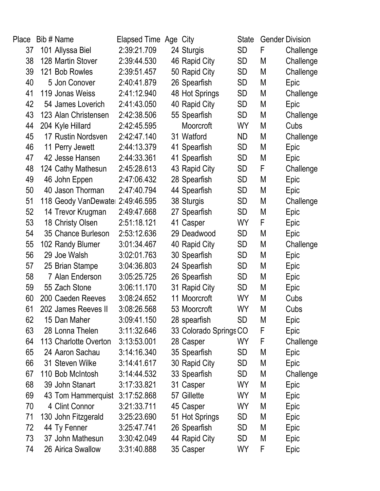| Place | Bib # Name                       | Elapsed Time Age City |                        | State     |   | <b>Gender Division</b> |
|-------|----------------------------------|-----------------------|------------------------|-----------|---|------------------------|
| 37    | 101 Allyssa Biel                 | 2:39:21.709           | 24 Sturgis             | SD        | F | Challenge              |
| 38    | 128 Martin Stover                | 2:39:44.530           | 46 Rapid City          | SD        | M | Challenge              |
| 39    | 121 Bob Rowles                   | 2:39:51.457           | 50 Rapid City          | <b>SD</b> | M | Challenge              |
| 40    | 5 Jon Conover                    | 2:40:41.879           | 26 Spearfish           | SD        | M | Epic                   |
| 41    | 119 Jonas Weiss                  | 2:41:12.940           | 48 Hot Springs         | <b>SD</b> | M | Challenge              |
| 42    | 54 James Loverich                | 2:41:43.050           | 40 Rapid City          | <b>SD</b> | М | Epic                   |
| 43    | 123 Alan Christensen             | 2:42:38.506           | 55 Spearfish           | <b>SD</b> | Μ | Challenge              |
| 44    | 204 Kyle Hillard                 | 2:42:45.595           | Moorcroft              | <b>WY</b> | M | Cubs                   |
| 45    | 17 Rustin Nordsven               | 2:42:47.140           | 31 Watford             | ND        | М | Challenge              |
| 46    | 11 Perry Jewett                  | 2:44:13.379           | 41 Spearfish           | <b>SD</b> | Μ | Epic                   |
| 47    | 42 Jesse Hansen                  | 2:44:33.361           | 41 Spearfish           | <b>SD</b> | M | Epic                   |
| 48    | 124 Cathy Mathesun               | 2:45:28.613           | 43 Rapid City          | <b>SD</b> | F | Challenge              |
| 49    | 46 John Eppen                    | 2:47:06.432           | 28 Spearfish           | <b>SD</b> | M | Epic                   |
| 50    | 40 Jason Thorman                 | 2:47:40.794           | 44 Spearfish           | <b>SD</b> | M | Epic                   |
| 51    | 118 Geody VanDewate: 2:49:46.595 |                       | 38 Sturgis             | <b>SD</b> | Μ | Challenge              |
| 52    | 14 Trevor Krugman                | 2:49:47.668           | 27 Spearfish           | <b>SD</b> | М | Epic                   |
| 53    | 18 Christy Olsen                 | 2:51:18.121           | 41 Casper              | WY        | F | Epic                   |
| 54    | 35 Chance Burleson               | 2:53:12.636           | 29 Deadwood            | <b>SD</b> | M | Epic                   |
| 55    | 102 Randy Blumer                 | 3:01:34.467           | 40 Rapid City          | <b>SD</b> | M | Challenge              |
| 56    | 29 Joe Walsh                     | 3:02:01.763           | 30 Spearfish           | <b>SD</b> | Μ | Epic                   |
| 57    | 25 Brian Stampe                  | 3:04:36.803           | 24 Spearfish           | <b>SD</b> | M | Epic                   |
| 58    | 7 Alan Enderson                  | 3:05:25.725           | 26 Spearfish           | <b>SD</b> | Μ | Epic                   |
| 59    | 55 Zach Stone                    | 3:06:11.170           | 31 Rapid City          | <b>SD</b> | M | Epic                   |
| 60    | 200 Caeden Reeves                | 3:08:24.652           | 11 Moorcroft           | <b>WY</b> | Μ | Cubs                   |
| 61    | 202 James Reeves II              | 3:08:26.568           | 53 Moorcroft           | <b>WY</b> | М | Cubs                   |
| 62    | 15 Dan Maher                     | 3:09:41.150           | 28 spearfish           | SD        | Μ | Epic                   |
| 63    | 28 Lonna Thelen                  | 3:11:32.646           | 33 Colorado Springs CO |           | F | Epic                   |
| 64    | 113 Charlotte Overton            | 3:13:53.001           | 28 Casper              | WY        | F | Challenge              |
| 65    | 24 Aaron Sachau                  | 3:14:16.340           | 35 Spearfish           | <b>SD</b> | Μ | Epic                   |
| 66    | 31 Steven Wilke                  | 3:14:41.617           | 30 Rapid City          | <b>SD</b> | Μ | Epic                   |
| 67    | 110 Bob McIntosh                 | 3:14:44.532           | 33 Spearfish           | <b>SD</b> | M | Challenge              |
| 68    | 39 John Stanart                  | 3:17:33.821           | 31 Casper              | <b>WY</b> | M | Epic                   |
| 69    | 43 Tom Hammerquist               | 3:17:52.868           | 57 Gillette            | <b>WY</b> | M | Epic                   |
| 70    | 4 Clint Connor                   | 3:21:33.711           | 45 Casper              | <b>WY</b> | M | Epic                   |
| 71    | 130 John Fitzgerald              | 3:25:23.690           | 51 Hot Springs         | <b>SD</b> | M | Epic                   |
| 72    | 44 Ty Fenner                     | 3:25:47.741           | 26 Spearfish           | <b>SD</b> | M | Epic                   |
| 73    | 37 John Mathesun                 | 3:30:42.049           | 44 Rapid City          | <b>SD</b> | M | Epic                   |
| 74    | 26 Airica Swallow                | 3:31:40.888           | 35 Casper              | WY        | F | Epic                   |